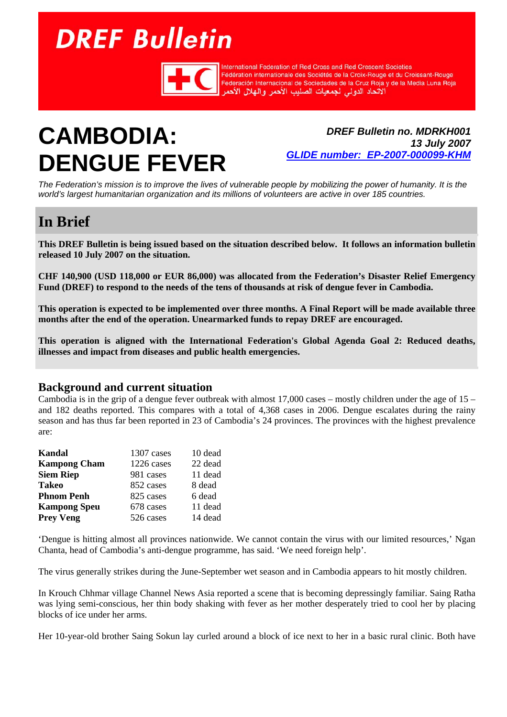# **DREF Bulletin**



International Federation of Red Cross and Red Crescent Societies Fédération internationale des Sociétés de la Croix-Rouge et du Croissant-Rouge Federación Internacional de Sociedades de la Cruz Roja y de la Media Luna Roja الأتحاد الدولى لجمعيات الصليب الأحمر والهلال الأحمر

## **CAMBODIA: DENGUE FEVER**

*DREF Bulletin no. MDRKH001 13 July 2007 GLIDE number: EP-2007-000099-KHM*

*The Federation's mission is to improve the lives of vulnerable people by mobilizing the power of humanity. It is the world's largest humanitarian organization and its millions of volunteers are active in over 185 countries.* 

### **In Brief**

**This DREF Bulletin is being issued based on the situation described below. It follows an information bulletin released 10 July 2007 on the situation.** 

**CHF 140,900 (USD 118,000 or EUR 86,000) was allocated from the Federation's Disaster Relief Emergency Fund (DREF) to respond to the needs of the tens of thousands at risk of dengue fever in Cambodia.** 

**This operation is expected to be implemented over three months. A Final Report will be made available three months after the end of the operation. Unearmarked funds to repay DREF are encouraged.** 

**This operation is aligned with the International Federation's Global Agenda Goal 2: Reduced deaths, illnesses and impact from diseases and public health emergencies.** 

#### **Background and current situation**

Cambodia is in the grip of a dengue fever outbreak with almost 17,000 cases – mostly children under the age of  $15$  – and 182 deaths reported. This compares with a total of 4,368 cases in 2006. Dengue escalates during the rainy season and has thus far been reported in 23 of Cambodia's 24 provinces. The provinces with the highest prevalence are:

| Kandal              | 1307 cases | 10 dead |
|---------------------|------------|---------|
| <b>Kampong Cham</b> | 1226 cases | 22 dead |
| <b>Siem Riep</b>    | 981 cases  | 11 dead |
| <b>Takeo</b>        | 852 cases  | 8 dead  |
| <b>Phnom Penh</b>   | 825 cases  | 6 dead  |
| <b>Kampong Speu</b> | 678 cases  | 11 dead |
| <b>Prey Veng</b>    | 526 cases  | 14 dead |

'Dengue is hitting almost all provinces nationwide. We cannot contain the virus with our limited resources,' Ngan Chanta, head of Cambodia's anti-dengue programme, has said. 'We need foreign help'.

The virus generally strikes during the June-September wet season and in Cambodia appears to hit mostly children.

In Krouch Chhmar village Channel News Asia reported a scene that is becoming depressingly familiar. Saing Ratha was lying semi-conscious, her thin body shaking with fever as her mother desperately tried to cool her by placing blocks of ice under her arms.

Her 10-year-old brother Saing Sokun lay curled around a block of ice next to her in a basic rural clinic. Both have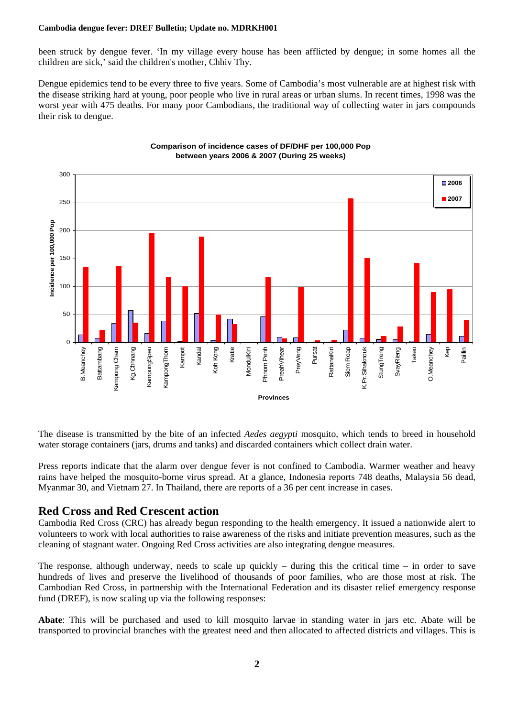#### **Cambodia dengue fever: DREF Bulletin; Update no. MDRKH001**

been struck by dengue fever. 'In my village every house has been afflicted by dengue; in some homes all the children are sick,' said the children's mother, Chhiv Thy.

Dengue epidemics tend to be every three to five years. Some of Cambodia's most vulnerable are at highest risk with the disease striking hard at young, poor people who live in rural areas or urban slums. In recent times, 1998 was the worst year with 475 deaths. For many poor Cambodians, the traditional way of collecting water in jars compounds their risk to dengue.



#### **Comparison of incidence cases of DF/DHF per 100,000 Pop between years 2006 & 2007 (During 25 weeks)**

The disease is transmitted by the bite of an infected *Aedes aegypti* mosquito, which tends to breed in household water storage containers (jars, drums and tanks) and discarded containers which collect drain water.

Press reports indicate that the alarm over dengue fever is not confined to Cambodia. Warmer weather and heavy rains have helped the mosquito-borne virus spread. At a glance, Indonesia reports 748 deaths, Malaysia 56 dead, Myanmar 30, and Vietnam 27. In Thailand, there are reports of a 36 per cent increase in cases.

#### **Red Cross and Red Crescent action**

Cambodia Red Cross (CRC) has already begun responding to the health emergency. It issued a nationwide alert to volunteers to work with local authorities to raise awareness of the risks and initiate prevention measures, such as the cleaning of stagnant water. Ongoing Red Cross activities are also integrating dengue measures.

The response, although underway, needs to scale up quickly – during this the critical time – in order to save hundreds of lives and preserve the livelihood of thousands of poor families, who are those most at risk. The Cambodian Red Cross, in partnership with the International Federation and its disaster relief emergency response fund (DREF), is now scaling up via the following responses:

**Abate**: This will be purchased and used to kill mosquito larvae in standing water in jars etc. Abate will be transported to provincial branches with the greatest need and then allocated to affected districts and villages. This is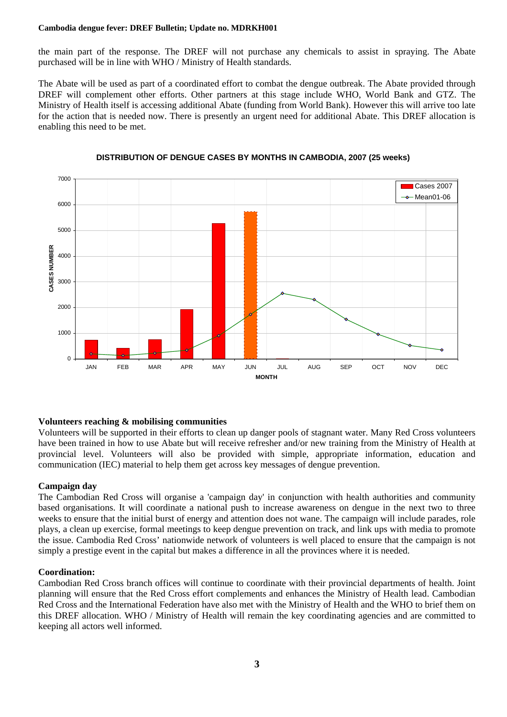#### **Cambodia dengue fever: DREF Bulletin; Update no. MDRKH001**

the main part of the response. The DREF will not purchase any chemicals to assist in spraying. The Abate purchased will be in line with WHO / Ministry of Health standards.

The Abate will be used as part of a coordinated effort to combat the dengue outbreak. The Abate provided through DREF will complement other efforts. Other partners at this stage include WHO, World Bank and GTZ. The Ministry of Health itself is accessing additional Abate (funding from World Bank). However this will arrive too late for the action that is needed now. There is presently an urgent need for additional Abate. This DREF allocation is enabling this need to be met.



#### **DISTRIBUTION OF DENGUE CASES BY MONTHS IN CAMBODIA, 2007 (25 weeks)**

#### **Volunteers reaching & mobilising communities**

Volunteers will be supported in their efforts to clean up danger pools of stagnant water. Many Red Cross volunteers have been trained in how to use Abate but will receive refresher and/or new training from the Ministry of Health at provincial level. Volunteers will also be provided with simple, appropriate information, education and communication (IEC) material to help them get across key messages of dengue prevention.

#### **Campaign day**

The Cambodian Red Cross will organise a 'campaign day' in conjunction with health authorities and community based organisations. It will coordinate a national push to increase awareness on dengue in the next two to three weeks to ensure that the initial burst of energy and attention does not wane. The campaign will include parades, role plays, a clean up exercise, formal meetings to keep dengue prevention on track, and link ups with media to promote the issue. Cambodia Red Cross' nationwide network of volunteers is well placed to ensure that the campaign is not simply a prestige event in the capital but makes a difference in all the provinces where it is needed.

#### **Coordination:**

Cambodian Red Cross branch offices will continue to coordinate with their provincial departments of health. Joint planning will ensure that the Red Cross effort complements and enhances the Ministry of Health lead. Cambodian Red Cross and the International Federation have also met with the Ministry of Health and the WHO to brief them on this DREF allocation. WHO / Ministry of Health will remain the key coordinating agencies and are committed to keeping all actors well informed.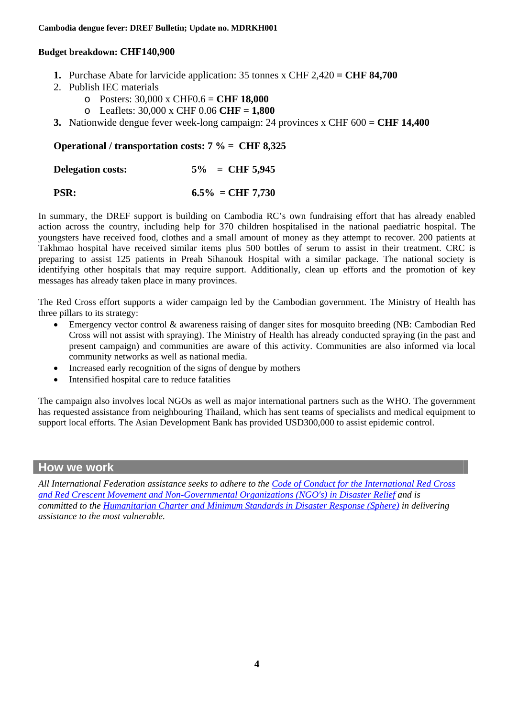#### **Budget breakdown: CHF140,900**

- **1.** Purchase Abate for larvicide application: 35 tonnes x CHF 2,420 **= CHF 84,700**
- 2. Publish IEC materials
	- o Posters: 30,000 x CHF0.6 = **CHF 18,000**
	- o Leaflets: 30,000 x CHF 0.06 **CHF = 1,800**
- **3.** Nationwide dengue fever week-long campaign: 24 provinces x CHF 600 **= CHF 14,400**

#### **Operational / transportation costs: 7 % = CHF 8,325**

| <b>Delegation costs:</b> | $5\% = \text{CHF } 5,945$ |
|--------------------------|---------------------------|
|                          |                           |

#### **PSR:** 6.5% = CHF 7,730

In summary, the DREF support is building on Cambodia RC's own fundraising effort that has already enabled action across the country, including help for 370 children hospitalised in the national paediatric hospital. The youngsters have received food, clothes and a small amount of money as they attempt to recover. 200 patients at Takhmao hospital have received similar items plus 500 bottles of serum to assist in their treatment. CRC is preparing to assist 125 patients in Preah Sihanouk Hospital with a similar package. The national society is identifying other hospitals that may require support. Additionally, clean up efforts and the promotion of key messages has already taken place in many provinces.

The Red Cross effort supports a wider campaign led by the Cambodian government. The Ministry of Health has three pillars to its strategy:

- Emergency vector control & awareness raising of danger sites for mosquito breeding (NB: Cambodian Red Cross will not assist with spraying). The Ministry of Health has already conducted spraying (in the past and present campaign) and communities are aware of this activity. Communities are also informed via local community networks as well as national media.
- Increased early recognition of the signs of dengue by mothers
- Intensified hospital care to reduce fatalities

The campaign also involves local NGOs as well as major international partners such as the WHO. The government has requested assistance from neighbouring Thailand, which has sent teams of specialists and medical equipment to support local efforts. The Asian Development Bank has provided USD300,000 to assist epidemic control.

#### **How we work**

*All International Federation assistance seeks to adhere to the Code of Conduct for the International Red Cross and Red Crescent Movement and Non-Governmental Organizations (NGO's) in Disaster Relief and is committed to the Humanitarian Charter and Minimum Standards in Disaster Response (Sphere) in delivering assistance to the most vulnerable.*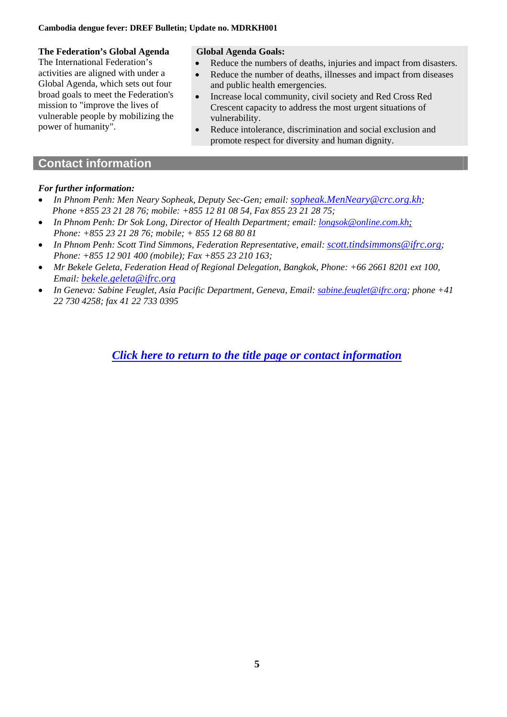### **The Federation's Global Agenda**

The International Federation's activities are aligned with under a Global Agenda, which sets out four broad goals to meet the Federation's mission to "improve the lives of vulnerable people by mobilizing the power of humanity".

#### **Global Agenda Goals:**

- Reduce the numbers of deaths, injuries and impact from disasters.
- Reduce the number of deaths, illnesses and impact from diseases and public health emergencies.
- Increase local community, civil society and Red Cross Red Crescent capacity to address the most urgent situations of vulnerability.
- Reduce intolerance, discrimination and social exclusion and promote respect for diversity and human dignity.

#### **Contact information**

#### *For further information:*

- *In Phnom Penh: Men Neary Sopheak, Deputy Sec-Gen; email: sopheak.MenNeary@crc.org.kh; Phone +855 23 21 28 76; mobile: +855 12 81 08 54, Fax 855 23 21 28 75;*
- *In Phnom Penh: Dr Sok Long, Director of Health Department; email: longsok@online.com.kh; Phone: +855 23 21 28 76; mobile; + 855 12 68 80 81*
- *In Phnom Penh: Scott Tind Simmons, Federation Representative, email: scott.tindsimmons@ifrc.org; Phone: +855 12 901 400 (mobile); Fax +855 23 210 163;*
- *Mr Bekele Geleta, Federation Head of Regional Delegation, Bangkok, Phone: +66 2661 8201 ext 100, Email: bekele.geleta@ifrc.org*
- *In Geneva: Sabine Feuglet, Asia Pacific Department, Geneva, Email: sabine.feuglet@ifrc.org; phone +41 22 730 4258; fax 41 22 733 0395*

*Click here to return to the title page or contact information*